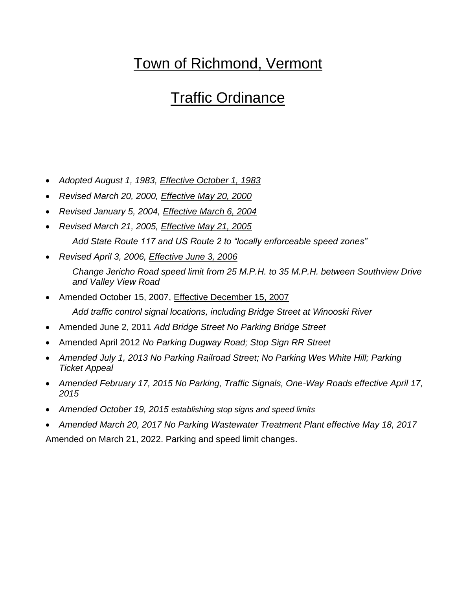# Town of Richmond, Vermont

# Traffic Ordinance

- *Adopted August 1, 1983, Effective October 1, 1983*
- *Revised March 20, 2000, Effective May 20, 2000*
- *Revised January 5, 2004, Effective March 6, 2004*
- *Revised March 21, 2005, Effective May 21, 2005 Add State Route 117 and US Route 2 to "locally enforceable speed zones"*
- *Revised April 3, 2006, Effective June 3, 2006 Change Jericho Road speed limit from 25 M.P.H. to 35 M.P.H. between Southview Drive and Valley View Road*
- Amended October 15, 2007, Effective December 15, 2007 *Add traffic control signal locations, including Bridge Street at Winooski River*
- Amended June 2, 2011 *Add Bridge Street No Parking Bridge Street*
- Amended April 2012 *No Parking Dugway Road; Stop Sign RR Street*
- *Amended July 1, 2013 No Parking Railroad Street; No Parking Wes White Hill; Parking Ticket Appeal*
- *Amended February 17, 2015 No Parking, Traffic Signals, One-Way Roads effective April 17, 2015*
- *Amended October 19, 2015 establishing stop signs and speed limits*
- *Amended March 20, 2017 No Parking Wastewater Treatment Plant effective May 18, 2017*

Amended on March 21, 2022. Parking and speed limit changes.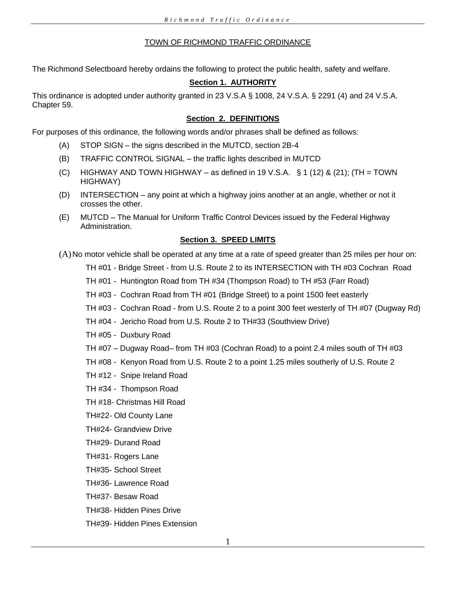## TOWN OF RICHMOND TRAFFIC ORDINANCE

The Richmond Selectboard hereby ordains the following to protect the public health, safety and welfare.

# **Section 1. AUTHORITY**

This ordinance is adopted under authority granted in 23 V.S.A § 1008, 24 V.S.A. § 2291 (4) and 24 V.S.A. Chapter 59.

# **Section 2. DEFINITIONS**

For purposes of this ordinance, the following words and/or phrases shall be defined as follows:

- (A) STOP SIGN the signs described in the MUTCD, section 2B-4
- (B) TRAFFIC CONTROL SIGNAL the traffic lights described in MUTCD
- (C) HIGHWAY AND TOWN HIGHWAY as defined in 19 V.S.A.  $\S$  1 (12) & (21); (TH = TOWN HIGHWAY)
- (D) INTERSECTION any point at which a highway joins another at an angle, whether or not it crosses the other.
- (E) MUTCD The Manual for Uniform Traffic Control Devices issued by the Federal Highway Administration.

# **Section 3. SPEED LIMITS**

(A)No motor vehicle shall be operated at any time at a rate of speed greater than 25 miles per hour on:

TH #01 - Bridge Street - from U.S. Route 2 to its INTERSECTION with TH #03 Cochran Road

- TH #01 Huntington Road from TH #34 (Thompson Road) to TH #53 (Farr Road)
- TH #03 Cochran Road from TH #01 (Bridge Street) to a point 1500 feet easterly
- TH #03 Cochran Road from U.S. Route 2 to a point 300 feet westerly of TH #07 (Dugway Rd)
- TH #04 Jericho Road from U.S. Route 2 to TH#33 (Southview Drive)
- TH #05 Duxbury Road
- TH #07 Dugway Road– from TH #03 (Cochran Road) to a point 2.4 miles south of TH #03
- TH #08 Kenyon Road from U.S. Route 2 to a point 1.25 miles southerly of U.S. Route 2
- TH #12 Snipe Ireland Road
- TH #34 Thompson Road
- TH #18- Christmas Hill Road
- TH#22- Old County Lane
- TH#24- Grandview Drive
- TH#29- Durand Road
- TH#31- Rogers Lane
- TH#35- School Street
- TH#36- Lawrence Road
- TH#37- Besaw Road
- TH#38- Hidden Pines Drive
- TH#39- Hidden Pines Extension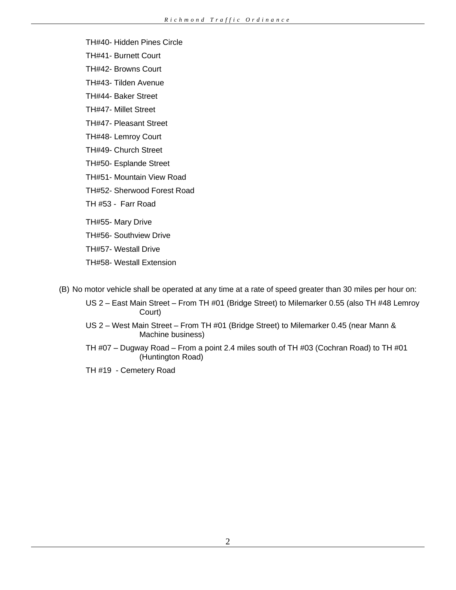- TH#40- Hidden Pines Circle
- TH#41- Burnett Court
- TH#42- Browns Court
- TH#43- Tilden Avenue
- TH#44- Baker Street
- TH#47- Millet Street
- TH#47- Pleasant Street
- TH#48- Lemroy Court
- TH#49- Church Street
- TH#50- Esplande Street
- TH#51- Mountain View Road
- TH#52- Sherwood Forest Road
- TH #53 Farr Road
- TH#55- Mary Drive
- TH#56- Southview Drive
- TH#57- Westall Drive
- TH#58- Westall Extension
- (B) No motor vehicle shall be operated at any time at a rate of speed greater than 30 miles per hour on:
	- US 2 East Main Street From TH #01 (Bridge Street) to Milemarker 0.55 (also TH #48 Lemroy Court)
	- US 2 West Main Street From TH #01 (Bridge Street) to Milemarker 0.45 (near Mann & Machine business)
	- TH #07 Dugway Road From a point 2.4 miles south of TH #03 (Cochran Road) to TH #01 (Huntington Road)
	- TH #19 Cemetery Road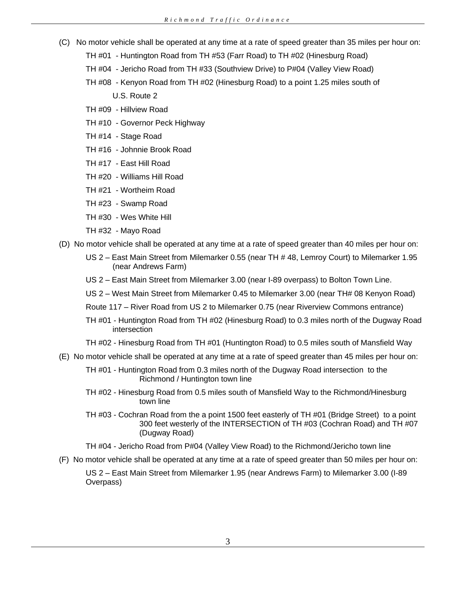- (C) No motor vehicle shall be operated at any time at a rate of speed greater than 35 miles per hour on:
	- TH #01 Huntington Road from TH #53 (Farr Road) to TH #02 (Hinesburg Road)
	- TH #04 Jericho Road from TH #33 (Southview Drive) to P#04 (Valley View Road)
	- TH #08 Kenyon Road from TH #02 (Hinesburg Road) to a point 1.25 miles south of
		- U.S. Route 2
	- TH #09 Hillview Road
	- TH #10 Governor Peck Highway
	- TH #14 Stage Road
	- TH #16 Johnnie Brook Road
	- TH #17 East Hill Road
	- TH #20 Williams Hill Road
	- TH #21 Wortheim Road
	- TH #23 Swamp Road
	- TH #30 Wes White Hill
	- TH #32 Mayo Road
- (D) No motor vehicle shall be operated at any time at a rate of speed greater than 40 miles per hour on:
	- US 2 East Main Street from Milemarker 0.55 (near TH # 48, Lemroy Court) to Milemarker 1.95 (near Andrews Farm)
	- US 2 East Main Street from Milemarker 3.00 (near I-89 overpass) to Bolton Town Line.
	- US 2 West Main Street from Milemarker 0.45 to Milemarker 3.00 (near TH# 08 Kenyon Road)
	- Route 117 River Road from US 2 to Milemarker 0.75 (near Riverview Commons entrance)
	- TH #01 Huntington Road from TH #02 (Hinesburg Road) to 0.3 miles north of the Dugway Road intersection
	- TH #02 Hinesburg Road from TH #01 (Huntington Road) to 0.5 miles south of Mansfield Way
- (E) No motor vehicle shall be operated at any time at a rate of speed greater than 45 miles per hour on:
	- TH #01 Huntington Road from 0.3 miles north of the Dugway Road intersection to the Richmond / Huntington town line
	- TH #02 Hinesburg Road from 0.5 miles south of Mansfield Way to the Richmond/Hinesburg town line
	- TH #03 Cochran Road from the a point 1500 feet easterly of TH #01 (Bridge Street) to a point 300 feet westerly of the INTERSECTION of TH #03 (Cochran Road) and TH #07 (Dugway Road)

TH #04 - Jericho Road from P#04 (Valley View Road) to the Richmond/Jericho town line

(F) No motor vehicle shall be operated at any time at a rate of speed greater than 50 miles per hour on:

US 2 – East Main Street from Milemarker 1.95 (near Andrews Farm) to Milemarker 3.00 (I-89 Overpass)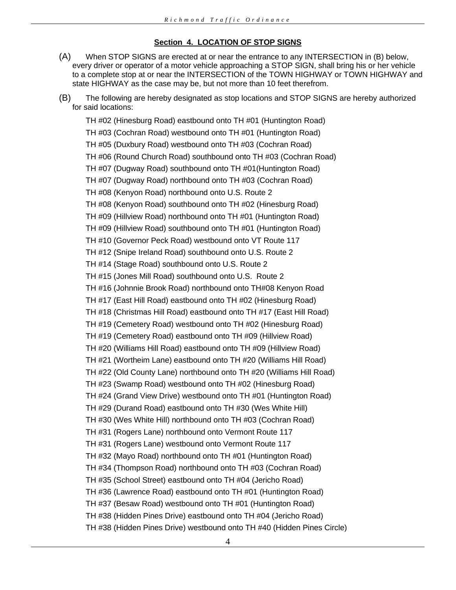## **Section 4. LOCATION OF STOP SIGNS**

- (A) When STOP SIGNS are erected at or near the entrance to any INTERSECTION in (B) below, every driver or operator of a motor vehicle approaching a STOP SIGN, shall bring his or her vehicle to a complete stop at or near the INTERSECTION of the TOWN HIGHWAY or TOWN HIGHWAY and state HIGHWAY as the case may be, but not more than 10 feet therefrom.
- (B) The following are hereby designated as stop locations and STOP SIGNS are hereby authorized for said locations:

TH #02 (Hinesburg Road) eastbound onto TH #01 (Huntington Road) TH #03 (Cochran Road) westbound onto TH #01 (Huntington Road) TH #05 (Duxbury Road) westbound onto TH #03 (Cochran Road) TH #06 (Round Church Road) southbound onto TH #03 (Cochran Road) TH #07 (Dugway Road) southbound onto TH #01(Huntington Road) TH #07 (Dugway Road) northbound onto TH #03 (Cochran Road) TH #08 (Kenyon Road) northbound onto U.S. Route 2 TH #08 (Kenyon Road) southbound onto TH #02 (Hinesburg Road) TH #09 (Hillview Road) northbound onto TH #01 (Huntington Road) TH #09 (Hillview Road) southbound onto TH #01 (Huntington Road) TH #10 (Governor Peck Road) westbound onto VT Route 117 TH #12 (Snipe Ireland Road) southbound onto U.S. Route 2 TH #14 (Stage Road) southbound onto U.S. Route 2 TH #15 (Jones Mill Road) southbound onto U.S. Route 2 TH #16 (Johnnie Brook Road) northbound onto TH#08 Kenyon Road TH #17 (East Hill Road) eastbound onto TH #02 (Hinesburg Road) TH #18 (Christmas Hill Road) eastbound onto TH #17 (East Hill Road) TH #19 (Cemetery Road) westbound onto TH #02 (Hinesburg Road) TH #19 (Cemetery Road) eastbound onto TH #09 (Hillview Road) TH #20 (Williams Hill Road) eastbound onto TH #09 (Hillview Road) TH #21 (Wortheim Lane) eastbound onto TH #20 (Williams Hill Road) TH #22 (Old County Lane) northbound onto TH #20 (Williams Hill Road) TH #23 (Swamp Road) westbound onto TH #02 (Hinesburg Road) TH #24 (Grand View Drive) westbound onto TH #01 (Huntington Road) TH #29 (Durand Road) eastbound onto TH #30 (Wes White Hill) TH #30 (Wes White Hill) northbound onto TH #03 (Cochran Road) TH #31 (Rogers Lane) northbound onto Vermont Route 117 TH #31 (Rogers Lane) westbound onto Vermont Route 117 TH #32 (Mayo Road) northbound onto TH #01 (Huntington Road) TH #34 (Thompson Road) northbound onto TH #03 (Cochran Road) TH #35 (School Street) eastbound onto TH #04 (Jericho Road) TH #36 (Lawrence Road) eastbound onto TH #01 (Huntington Road) TH #37 (Besaw Road) westbound onto TH #01 (Huntington Road) TH #38 (Hidden Pines Drive) eastbound onto TH #04 (Jericho Road) TH #38 (Hidden Pines Drive) westbound onto TH #40 (Hidden Pines Circle)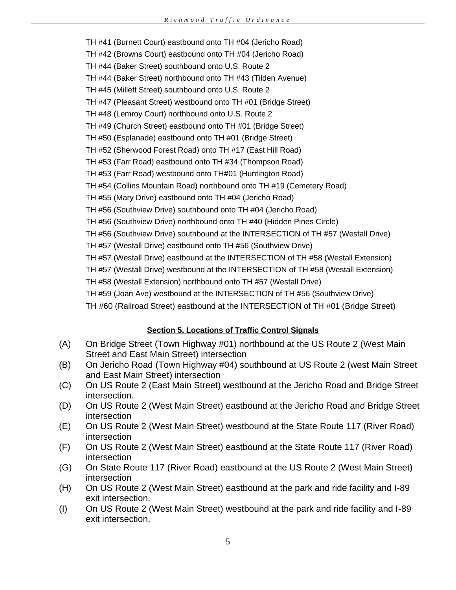TH #41 (Burnett Court) eastbound onto TH #04 (Jericho Road) TH #42 (Browns Court) eastbound onto TH #04 (Jericho Road) TH #44 (Baker Street) southbound onto U.S. Route 2 TH #44 (Baker Street) northbound onto TH #43 (Tilden Avenue) TH #45 (Millett Street) southbound onto U.S. Route 2 TH #47 (Pleasant Street) westbound onto TH #01 (Bridge Street) TH #48 (Lemroy Court) northbound onto U.S. Route 2 TH #49 (Church Street) eastbound onto TH #01 (Bridge Street) TH #50 (Esplanade) eastbound onto TH #01 (Bridge Street) TH #52 (Sherwood Forest Road) onto TH #17 (East Hill Road) TH #53 (Farr Road) eastbound onto TH #34 (Thompson Road) TH #53 (Farr Road) westbound onto TH#01 (Huntington Road) TH #54 (Collins Mountain Road) northbound onto TH #19 (Cemetery Road) TH #55 (Mary Drive) eastbound onto TH #04 (Jericho Road) TH #56 (Southview Drive) southbound onto TH #04 (Jericho Road) TH #56 (Southview Drive) northbound onto TH #40 (Hidden Pines Circle) TH #56 (Southview Drive) southbound at the INTERSECTION of TH #57 (Westall Drive) TH #57 (Westall Drive) eastbound onto TH #56 (Southview Drive) TH #57 (Westall Drive) eastbound at the INTERSECTION of TH #58 (Westall Extension) TH #57 (Westall Drive) westbound at the INTERSECTION of TH #58 (Westall Extension) TH #58 (Westall Extension) northbound onto TH #57 (Westall Drive) TH #59 (Joan Ave) westbound at the INTERSECTION of TH #56 (Southview Drive)

TH #60 (Railroad Street) eastbound at the INTERSECTION of TH #01 (Bridge Street)

# **Section 5. Locations of Traffic Control Signals**

- (A) On Bridge Street (Town Highway #01) northbound at the US Route 2 (West Main Street and East Main Street) intersection
- (B) On Jericho Road (Town Highway #04) southbound at US Route 2 (west Main Street and East Main Street) intersection
- (C) On US Route 2 (East Main Street) westbound at the Jericho Road and Bridge Street intersection.
- (D) On US Route 2 (West Main Street) eastbound at the Jericho Road and Bridge Street intersection
- (E) On US Route 2 (West Main Street) westbound at the State Route 117 (River Road) intersection
- (F) On US Route 2 (West Main Street) eastbound at the State Route 117 (River Road) intersection
- (G) On State Route 117 (River Road) eastbound at the US Route 2 (West Main Street) intersection
- (H) On US Route 2 (West Main Street) eastbound at the park and ride facility and I-89 exit intersection.
- (I) On US Route 2 (West Main Street) westbound at the park and ride facility and I-89 exit intersection.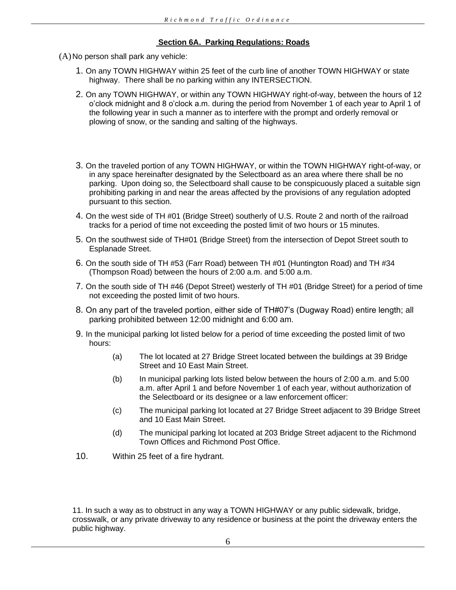## **Section 6A. Parking Regulations: Roads**

(A)No person shall park any vehicle:

- 1. On any TOWN HIGHWAY within 25 feet of the curb line of another TOWN HIGHWAY or state highway. There shall be no parking within any INTERSECTION.
- 2. On any TOWN HIGHWAY, or within any TOWN HIGHWAY right-of-way, between the hours of 12 o'clock midnight and 8 o'clock a.m. during the period from November 1 of each year to April 1 of the following year in such a manner as to interfere with the prompt and orderly removal or plowing of snow, or the sanding and salting of the highways.
- 3. On the traveled portion of any TOWN HIGHWAY, or within the TOWN HIGHWAY right-of-way, or in any space hereinafter designated by the Selectboard as an area where there shall be no parking. Upon doing so, the Selectboard shall cause to be conspicuously placed a suitable sign prohibiting parking in and near the areas affected by the provisions of any regulation adopted pursuant to this section.
- 4. On the west side of TH #01 (Bridge Street) southerly of U.S. Route 2 and north of the railroad tracks for a period of time not exceeding the posted limit of two hours or 15 minutes.
- 5. On the southwest side of TH#01 (Bridge Street) from the intersection of Depot Street south to Esplanade Street.
- 6. On the south side of TH #53 (Farr Road) between TH #01 (Huntington Road) and TH #34 (Thompson Road) between the hours of 2:00 a.m. and 5:00 a.m.
- 7. On the south side of TH #46 (Depot Street) westerly of TH #01 (Bridge Street) for a period of time not exceeding the posted limit of two hours.
- 8. On any part of the traveled portion, either side of TH#07's (Dugway Road) entire length; all parking prohibited between 12:00 midnight and 6:00 am.
- 9. In the municipal parking lot listed below for a period of time exceeding the posted limit of two hours:
	- (a) The lot located at 27 Bridge Street located between the buildings at 39 Bridge Street and 10 East Main Street.
	- (b) In municipal parking lots listed below between the hours of 2:00 a.m. and 5:00 a.m. after April 1 and before November 1 of each year, without authorization of the Selectboard or its designee or a law enforcement officer:
	- (c) The municipal parking lot located at 27 Bridge Street adjacent to 39 Bridge Street and 10 East Main Street.
	- (d) The municipal parking lot located at 203 Bridge Street adjacent to the Richmond Town Offices and Richmond Post Office.
- 10. Within 25 feet of a fire hydrant.

11. In such a way as to obstruct in any way a TOWN HIGHWAY or any public sidewalk, bridge, crosswalk, or any private driveway to any residence or business at the point the driveway enters the public highway.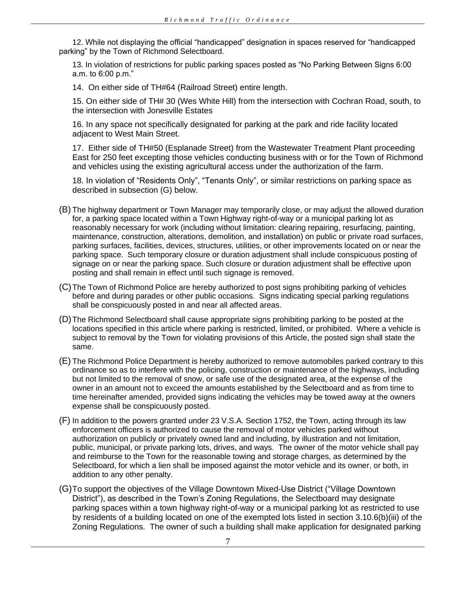12. While not displaying the official "handicapped" designation in spaces reserved for "handicapped parking" by the Town of Richmond Selectboard.

13. In violation of restrictions for public parking spaces posted as "No Parking Between Signs 6:00 a.m. to 6:00 p.m."

14. On either side of TH#64 (Railroad Street) entire length.

15. On either side of TH# 30 (Wes White Hill) from the intersection with Cochran Road, south, to the intersection with Jonesville Estates

16. In any space not specifically designated for parking at the park and ride facility located adjacent to West Main Street.

17. Either side of TH#50 (Esplanade Street) from the Wastewater Treatment Plant proceeding East for 250 feet excepting those vehicles conducting business with or for the Town of Richmond and vehicles using the existing agricultural access under the authorization of the farm.

18. In violation of "Residents Only", "Tenants Only", or similar restrictions on parking space as described in subsection (G) below.

- (B) The highway department or Town Manager may temporarily close, or may adjust the allowed duration for, a parking space located within a Town Highway right-of-way or a municipal parking lot as reasonably necessary for work (including without limitation: clearing repairing, resurfacing, painting, maintenance, construction, alterations, demolition, and installation) on public or private road surfaces, parking surfaces, facilities, devices, structures, utilities, or other improvements located on or near the parking space. Such temporary closure or duration adjustment shall include conspicuous posting of signage on or near the parking space. Such closure or duration adjustment shall be effective upon posting and shall remain in effect until such signage is removed.
- (C)The Town of Richmond Police are hereby authorized to post signs prohibiting parking of vehicles before and during parades or other public occasions. Signs indicating special parking regulations shall be conspicuously posted in and near all affected areas.
- (D)The Richmond Selectboard shall cause appropriate signs prohibiting parking to be posted at the locations specified in this article where parking is restricted, limited, or prohibited. Where a vehicle is subject to removal by the Town for violating provisions of this Article, the posted sign shall state the same.
- (E) The Richmond Police Department is hereby authorized to remove automobiles parked contrary to this ordinance so as to interfere with the policing, construction or maintenance of the highways, including but not limited to the removal of snow, or safe use of the designated area, at the expense of the owner in an amount not to exceed the amounts established by the Selectboard and as from time to time hereinafter amended, provided signs indicating the vehicles may be towed away at the owners expense shall be conspicuously posted.
- (F) In addition to the powers granted under 23 V.S.A. Section 1752, the Town, acting through its law enforcement officers is authorized to cause the removal of motor vehicles parked without authorization on publicly or privately owned land and including, by illustration and not limitation, public, municipal, or private parking lots, drives, and ways. The owner of the motor vehicle shall pay and reimburse to the Town for the reasonable towing and storage charges, as determined by the Selectboard, for which a lien shall be imposed against the motor vehicle and its owner, or both, in addition to any other penalty.
- (G)To support the objectives of the Village Downtown Mixed-Use District ("Village Downtown District"), as described in the Town's Zoning Regulations, the Selectboard may designate parking spaces within a town highway right-of-way or a municipal parking lot as restricted to use by residents of a building located on one of the exempted lots listed in section 3.10.6(b)(iii) of the Zoning Regulations. The owner of such a building shall make application for designated parking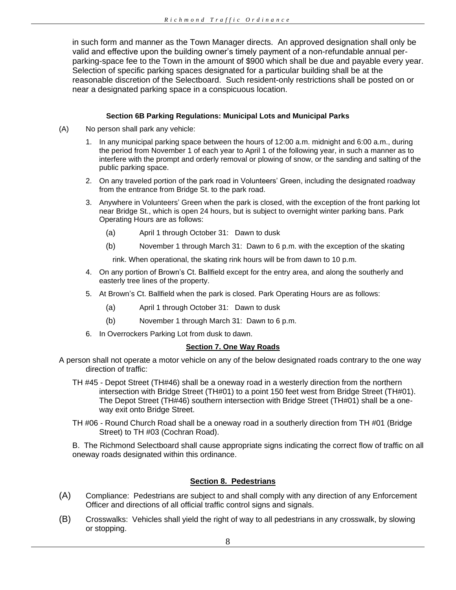in such form and manner as the Town Manager directs. An approved designation shall only be valid and effective upon the building owner's timely payment of a non-refundable annual perparking-space fee to the Town in the amount of \$900 which shall be due and payable every year. Selection of specific parking spaces designated for a particular building shall be at the reasonable discretion of the Selectboard. Such resident-only restrictions shall be posted on or near a designated parking space in a conspicuous location.

#### **Section 6B Parking Regulations: Municipal Lots and Municipal Parks**

- (A) No person shall park any vehicle:
	- 1. In any municipal parking space between the hours of 12:00 a.m. midnight and 6:00 a.m., during the period from November 1 of each year to April 1 of the following year, in such a manner as to interfere with the prompt and orderly removal or plowing of snow, or the sanding and salting of the public parking space.
	- 2. On any traveled portion of the park road in Volunteers' Green, including the designated roadway from the entrance from Bridge St. to the park road.
	- 3. Anywhere in Volunteers' Green when the park is closed, with the exception of the front parking lot near Bridge St., which is open 24 hours, but is subject to overnight winter parking bans. Park Operating Hours are as follows:
		- (a) April 1 through October 31: Dawn to dusk
		- (b) November 1 through March 31: Dawn to 6 p.m. with the exception of the skating

rink. When operational, the skating rink hours will be from dawn to 10 p.m.

- 4. On any portion of Brown's Ct. Ballfield except for the entry area, and along the southerly and easterly tree lines of the property.
- 5. At Brown's Ct. Ballfield when the park is closed. Park Operating Hours are as follows:
	- (a) April 1 through October 31: Dawn to dusk
	- (b) November 1 through March 31: Dawn to 6 p.m.
- 6. In Overrockers Parking Lot from dusk to dawn.

### **Section 7. One Way Roads**

- A person shall not operate a motor vehicle on any of the below designated roads contrary to the one way direction of traffic:
	- TH #45 Depot Street (TH#46) shall be a oneway road in a westerly direction from the northern intersection with Bridge Street (TH#01) to a point 150 feet west from Bridge Street (TH#01). The Depot Street (TH#46) southern intersection with Bridge Street (TH#01) shall be a oneway exit onto Bridge Street.
	- TH #06 Round Church Road shall be a oneway road in a southerly direction from TH #01 (Bridge Street) to TH #03 (Cochran Road).

B. The Richmond Selectboard shall cause appropriate signs indicating the correct flow of traffic on all oneway roads designated within this ordinance.

## **Section 8. Pedestrians**

- (A) Compliance: Pedestrians are subject to and shall comply with any direction of any Enforcement Officer and directions of all official traffic control signs and signals.
- (B) Crosswalks: Vehicles shall yield the right of way to all pedestrians in any crosswalk, by slowing or stopping.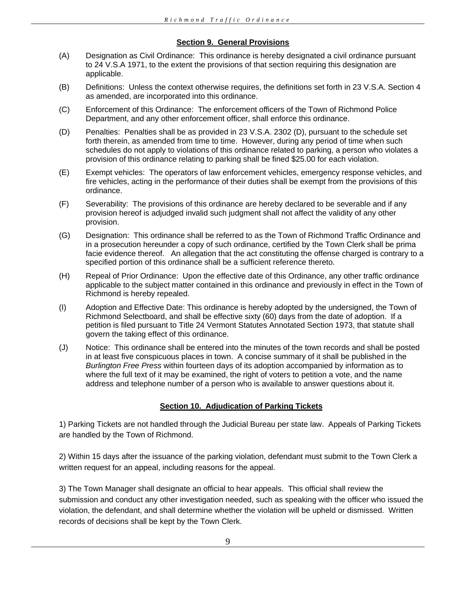## **Section 9. General Provisions**

- (A) Designation as Civil Ordinance: This ordinance is hereby designated a civil ordinance pursuant to 24 V.S.A 1971, to the extent the provisions of that section requiring this designation are applicable.
- (B) Definitions: Unless the context otherwise requires, the definitions set forth in 23 V.S.A. Section 4 as amended, are incorporated into this ordinance.
- (C) Enforcement of this Ordinance: The enforcement officers of the Town of Richmond Police Department, and any other enforcement officer, shall enforce this ordinance.
- (D) Penalties: Penalties shall be as provided in 23 V.S.A. 2302 (D), pursuant to the schedule set forth therein, as amended from time to time. However, during any period of time when such schedules do not apply to violations of this ordinance related to parking, a person who violates a provision of this ordinance relating to parking shall be fined \$25.00 for each violation.
- (E) Exempt vehicles: The operators of law enforcement vehicles, emergency response vehicles, and fire vehicles, acting in the performance of their duties shall be exempt from the provisions of this ordinance.
- (F) Severability: The provisions of this ordinance are hereby declared to be severable and if any provision hereof is adjudged invalid such judgment shall not affect the validity of any other provision.
- (G) Designation: This ordinance shall be referred to as the Town of Richmond Traffic Ordinance and in a prosecution hereunder a copy of such ordinance, certified by the Town Clerk shall be prima facie evidence thereof. An allegation that the act constituting the offense charged is contrary to a specified portion of this ordinance shall be a sufficient reference thereto.
- (H) Repeal of Prior Ordinance: Upon the effective date of this Ordinance, any other traffic ordinance applicable to the subject matter contained in this ordinance and previously in effect in the Town of Richmond is hereby repealed.
- (I) Adoption and Effective Date: This ordinance is hereby adopted by the undersigned, the Town of Richmond Selectboard, and shall be effective sixty (60) days from the date of adoption. If a petition is filed pursuant to Title 24 Vermont Statutes Annotated Section 1973, that statute shall govern the taking effect of this ordinance.
- (J) Notice: This ordinance shall be entered into the minutes of the town records and shall be posted in at least five conspicuous places in town. A concise summary of it shall be published in the *Burlington Free Press* within fourteen days of its adoption accompanied by information as to where the full text of it may be examined, the right of voters to petition a vote, and the name address and telephone number of a person who is available to answer questions about it.

## **Section 10. Adjudication of Parking Tickets**

1) Parking Tickets are not handled through the Judicial Bureau per state law. Appeals of Parking Tickets are handled by the Town of Richmond.

2) Within 15 days after the issuance of the parking violation, defendant must submit to the Town Clerk a written request for an appeal, including reasons for the appeal.

3) The Town Manager shall designate an official to hear appeals. This official shall review the submission and conduct any other investigation needed, such as speaking with the officer who issued the violation, the defendant, and shall determine whether the violation will be upheld or dismissed. Written records of decisions shall be kept by the Town Clerk.